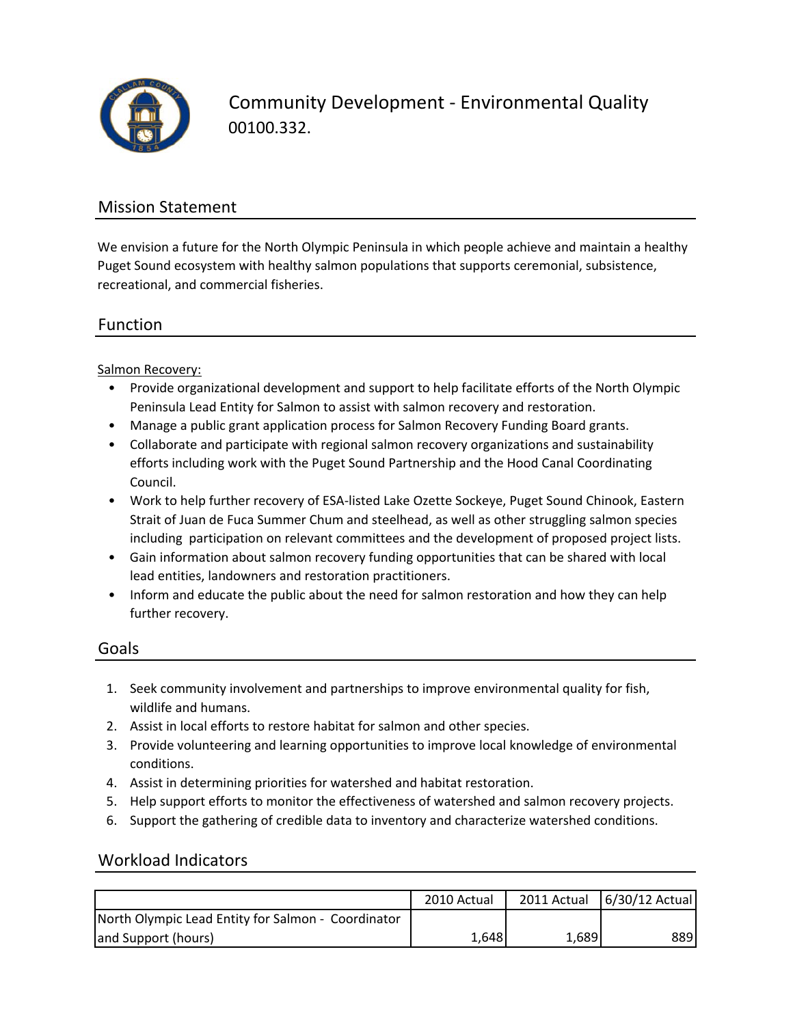

Community Development ‐ Environmental Quality 00100.332.

# Mission Statement

We envision a future for the North Olympic Peninsula in which people achieve and maintain a healthy Puget Sound ecosystem with healthy salmon populations that supports ceremonial, subsistence, recreational, and commercial fisheries.

## Function

Salmon Recovery:

- Provide organizational development and support to help facilitate efforts of the North Olympic Peninsula Lead Entity for Salmon to assist with salmon recovery and restoration.
- Manage a public grant application process for Salmon Recovery Funding Board grants.
- Collaborate and participate with regional salmon recovery organizations and sustainability efforts including work with the Puget Sound Partnership and the Hood Canal Coordinating Council.
- Work to help further recovery of ESA‐listed Lake Ozette Sockeye, Puget Sound Chinook, Eastern Strait of Juan de Fuca Summer Chum and steelhead, as well as other struggling salmon species including participation on relevant committees and the development of proposed project lists.
- Gain information about salmon recovery funding opportunities that can be shared with local lead entities, landowners and restoration practitioners.
- Inform and educate the public about the need for salmon restoration and how they can help further recovery.

### Goals

- 1. Seek community involvement and partnerships to improve environmental quality for fish, wildlife and humans.
- 2. Assist in local efforts to restore habitat for salmon and other species.
- 3. Provide volunteering and learning opportunities to improve local knowledge of environmental conditions.
- 4. Assist in determining priorities for watershed and habitat restoration.
- 5. Help support efforts to monitor the effectiveness of watershed and salmon recovery projects.
- 6. Support the gathering of credible data to inventory and characterize watershed conditions.

### Workload Indicators

|                                                    | 2010 Actual |       | 2011 Actual 6/30/12 Actual |
|----------------------------------------------------|-------------|-------|----------------------------|
| North Olympic Lead Entity for Salmon - Coordinator |             |       |                            |
| and Support (hours)                                | 1,648       | 1,689 | 889 I                      |